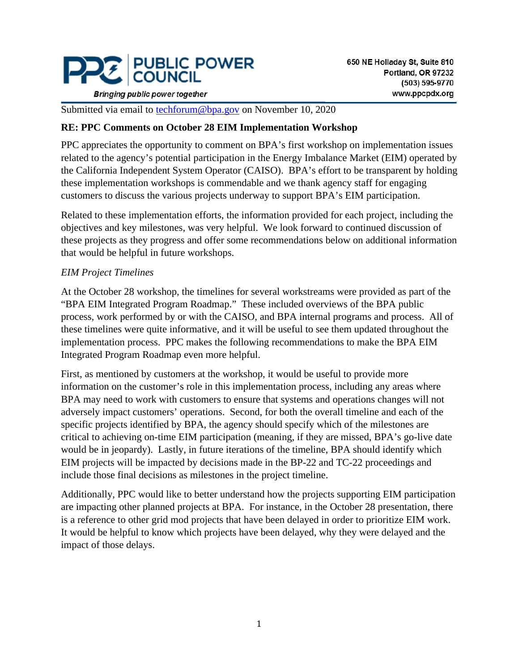

**Bringing public power together** 

Submitted via email to [techforum@bpa.gov](mailto:techforum@bpa.gov) on November 10, 2020

### **RE: PPC Comments on October 28 EIM Implementation Workshop**

PPC appreciates the opportunity to comment on BPA's first workshop on implementation issues related to the agency's potential participation in the Energy Imbalance Market (EIM) operated by the California Independent System Operator (CAISO). BPA's effort to be transparent by holding these implementation workshops is commendable and we thank agency staff for engaging customers to discuss the various projects underway to support BPA's EIM participation.

Related to these implementation efforts, the information provided for each project, including the objectives and key milestones, was very helpful. We look forward to continued discussion of these projects as they progress and offer some recommendations below on additional information that would be helpful in future workshops.

## *EIM Project Timelines*

At the October 28 workshop, the timelines for several workstreams were provided as part of the "BPA EIM Integrated Program Roadmap." These included overviews of the BPA public process, work performed by or with the CAISO, and BPA internal programs and process. All of these timelines were quite informative, and it will be useful to see them updated throughout the implementation process. PPC makes the following recommendations to make the BPA EIM Integrated Program Roadmap even more helpful.

First, as mentioned by customers at the workshop, it would be useful to provide more information on the customer's role in this implementation process, including any areas where BPA may need to work with customers to ensure that systems and operations changes will not adversely impact customers' operations. Second, for both the overall timeline and each of the specific projects identified by BPA, the agency should specify which of the milestones are critical to achieving on-time EIM participation (meaning, if they are missed, BPA's go-live date would be in jeopardy). Lastly, in future iterations of the timeline, BPA should identify which EIM projects will be impacted by decisions made in the BP-22 and TC-22 proceedings and include those final decisions as milestones in the project timeline.

Additionally, PPC would like to better understand how the projects supporting EIM participation are impacting other planned projects at BPA. For instance, in the October 28 presentation, there is a reference to other grid mod projects that have been delayed in order to prioritize EIM work. It would be helpful to know which projects have been delayed, why they were delayed and the impact of those delays.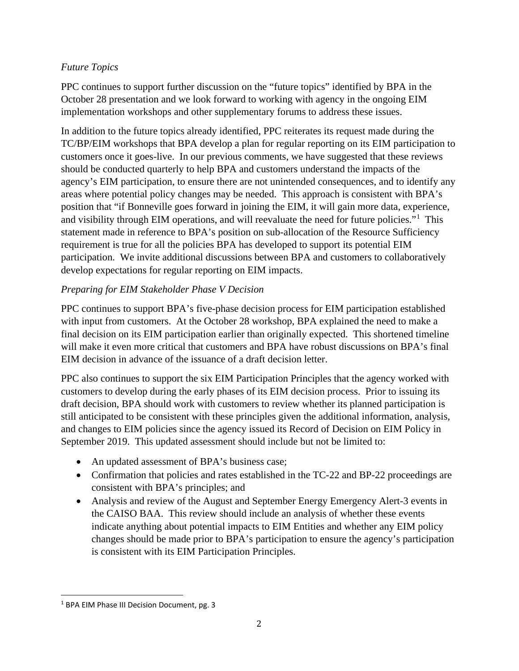## *Future Topics*

PPC continues to support further discussion on the "future topics" identified by BPA in the October 28 presentation and we look forward to working with agency in the ongoing EIM implementation workshops and other supplementary forums to address these issues.

In addition to the future topics already identified, PPC reiterates its request made during the TC/BP/EIM workshops that BPA develop a plan for regular reporting on its EIM participation to customers once it goes-live. In our previous comments, we have suggested that these reviews should be conducted quarterly to help BPA and customers understand the impacts of the agency's EIM participation, to ensure there are not unintended consequences, and to identify any areas where potential policy changes may be needed. This approach is consistent with BPA's position that "if Bonneville goes forward in joining the EIM, it will gain more data, experience, and visibility through EIM operations, and will reevaluate the need for future policies."<sup>[1](#page-1-0)</sup> This statement made in reference to BPA's position on sub-allocation of the Resource Sufficiency requirement is true for all the policies BPA has developed to support its potential EIM participation. We invite additional discussions between BPA and customers to collaboratively develop expectations for regular reporting on EIM impacts.

# *Preparing for EIM Stakeholder Phase V Decision*

PPC continues to support BPA's five-phase decision process for EIM participation established with input from customers. At the October 28 workshop, BPA explained the need to make a final decision on its EIM participation earlier than originally expected. This shortened timeline will make it even more critical that customers and BPA have robust discussions on BPA's final EIM decision in advance of the issuance of a draft decision letter.

PPC also continues to support the six EIM Participation Principles that the agency worked with customers to develop during the early phases of its EIM decision process. Prior to issuing its draft decision, BPA should work with customers to review whether its planned participation is still anticipated to be consistent with these principles given the additional information, analysis, and changes to EIM policies since the agency issued its Record of Decision on EIM Policy in September 2019. This updated assessment should include but not be limited to:

- An updated assessment of BPA's business case;
- Confirmation that policies and rates established in the TC-22 and BP-22 proceedings are consistent with BPA's principles; and
- Analysis and review of the August and September Energy Emergency Alert-3 events in the CAISO BAA. This review should include an analysis of whether these events indicate anything about potential impacts to EIM Entities and whether any EIM policy changes should be made prior to BPA's participation to ensure the agency's participation is consistent with its EIM Participation Principles.

<span id="page-1-0"></span><sup>&</sup>lt;sup>1</sup> BPA EIM Phase III Decision Document, pg. 3